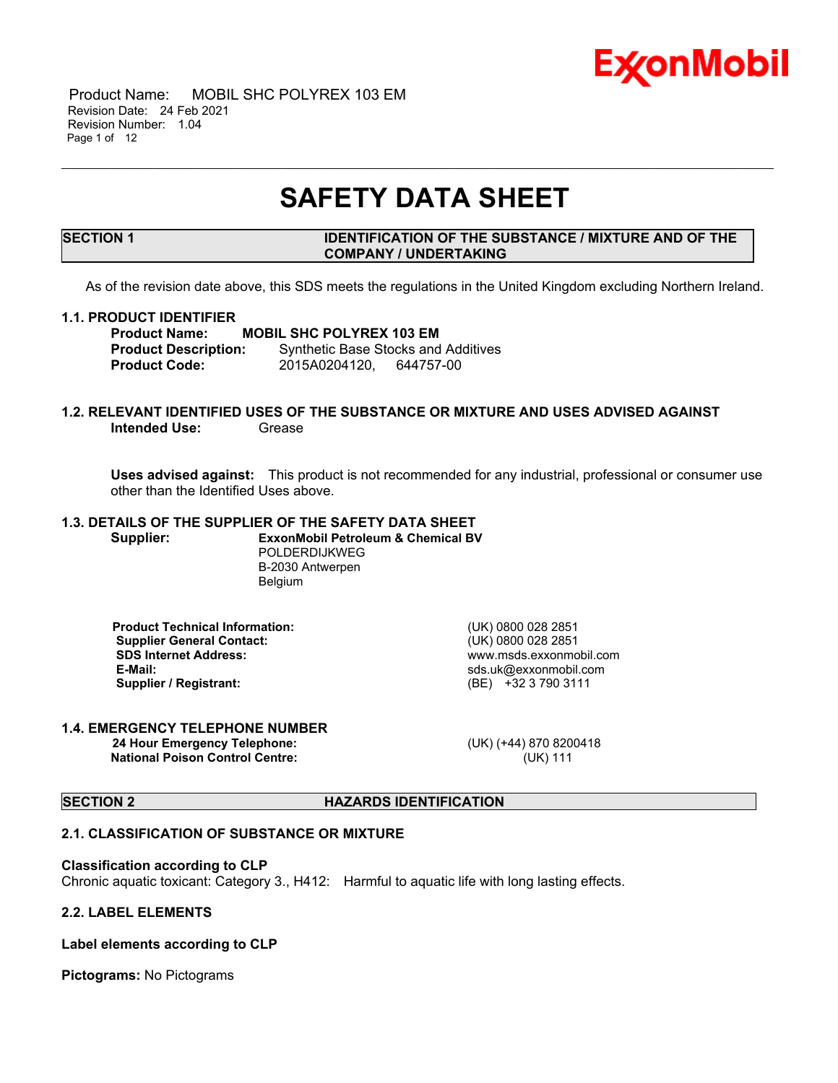

 Product Name: MOBIL SHC POLYREX 103 EM Revision Date: 24 Feb 2021 Revision Number: 1.04 Page 1 of 12

# **SAFETY DATA SHEET**

\_\_\_\_\_\_\_\_\_\_\_\_\_\_\_\_\_\_\_\_\_\_\_\_\_\_\_\_\_\_\_\_\_\_\_\_\_\_\_\_\_\_\_\_\_\_\_\_\_\_\_\_\_\_\_\_\_\_\_\_\_\_\_\_\_\_\_\_\_\_\_\_\_\_\_\_\_\_\_\_\_\_\_\_\_\_\_\_\_\_\_\_\_\_\_\_\_\_\_\_\_\_\_\_\_\_\_\_\_\_\_\_\_\_\_\_\_

# **SECTION 1 IDENTIFICATION OF THE SUBSTANCE / MIXTURE AND OF THE COMPANY / UNDERTAKING**

As of the revision date above, this SDS meets the regulations in the United Kingdom excluding Northern Ireland.

#### **1.1. PRODUCT IDENTIFIER**

**Product Name:** MOBIL SHC POLYREX 103 EM<br> **Product Description:** Synthetic Base Stocks and **Synthetic Base Stocks and Additives Product Code:** 2015A0204120, 644757-00

# **1.2. RELEVANT IDENTIFIED USES OF THE SUBSTANCE OR MIXTURE AND USES ADVISED AGAINST Intended Use:** Grease

**Uses advised against:** This product is not recommended for any industrial, professional or consumer use other than the Identified Uses above.

# **1.3. DETAILS OF THE SUPPLIER OF THE SAFETY DATA SHEET**

**Supplier: ExxonMobil Petroleum & Chemical BV** POLDERDIJKWEG B-2030 Antwerpen **Belgium** 

 **Product Technical Information:** (UK) 0800 028 2851 **Supplier General Contact:<br>SDS Internet Address: SDS Internet Address:** www.msds.exxonmobil.com **Supplier / Registrant:** 

sds.uk@exxonmobil.com<br>(BE) +32 3 790 3111

### **1.4. EMERGENCY TELEPHONE NUMBER**

 **24 Hour Emergency Telephone:** (UK) (+44) 870 8200418 **National Poison Control Centre:** (UK) 111

**SECTION 2 HAZARDS IDENTIFICATION** 

# **2.1. CLASSIFICATION OF SUBSTANCE OR MIXTURE**

#### **Classification according to CLP**

Chronic aquatic toxicant: Category 3., H412: Harmful to aquatic life with long lasting effects.

# **2.2. LABEL ELEMENTS**

**Label elements according to CLP**

**Pictograms:** No Pictograms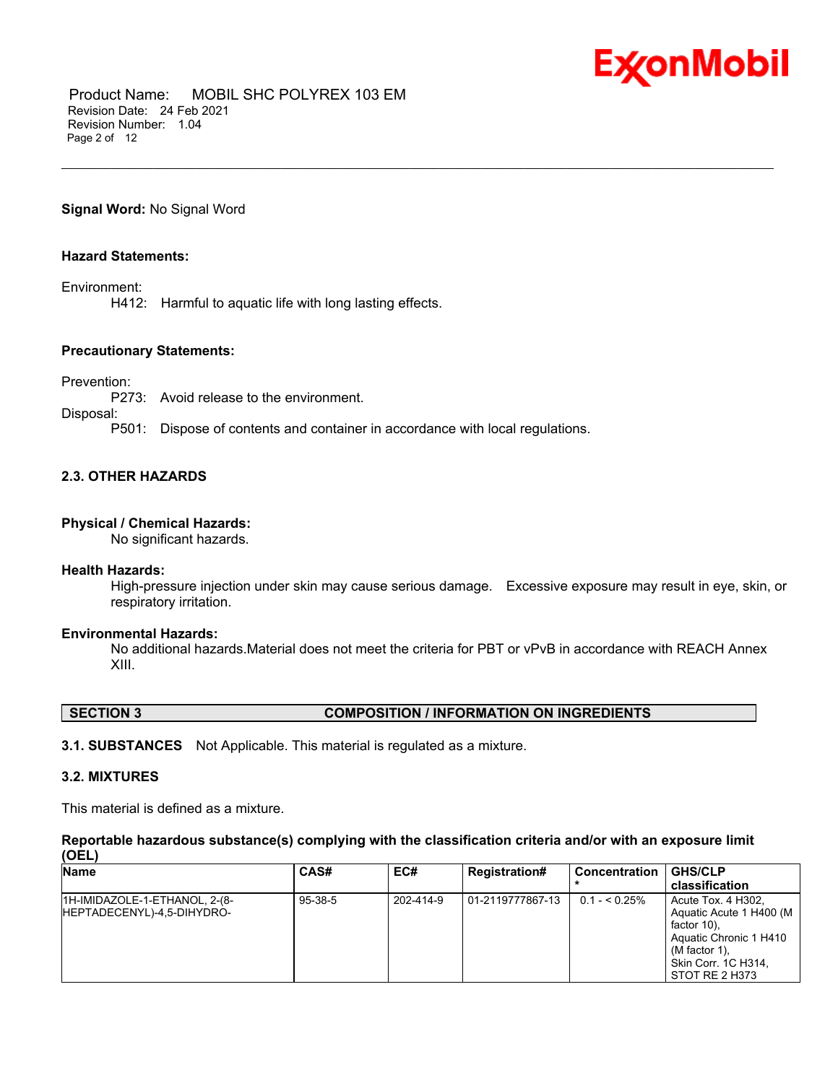

 Product Name: MOBIL SHC POLYREX 103 EM Revision Date: 24 Feb 2021 Revision Number: 1.04 Page 2 of 12

**Signal Word:** No Signal Word

# **Hazard Statements:**

Environment:

H412: Harmful to aquatic life with long lasting effects.

# **Precautionary Statements:**

Prevention:

P273: Avoid release to the environment.

Disposal:

P501: Dispose of contents and container in accordance with local regulations.

# **2.3. OTHER HAZARDS**

# **Physical / Chemical Hazards:**

No significant hazards.

### **Health Hazards:**

High-pressure injection under skin may cause serious damage. Excessive exposure may result in eye, skin, or respiratory irritation.

\_\_\_\_\_\_\_\_\_\_\_\_\_\_\_\_\_\_\_\_\_\_\_\_\_\_\_\_\_\_\_\_\_\_\_\_\_\_\_\_\_\_\_\_\_\_\_\_\_\_\_\_\_\_\_\_\_\_\_\_\_\_\_\_\_\_\_\_\_\_\_\_\_\_\_\_\_\_\_\_\_\_\_\_\_\_\_\_\_\_\_\_\_\_\_\_\_\_\_\_\_\_\_\_\_\_\_\_\_\_\_\_\_\_\_\_\_

# **Environmental Hazards:**

No additional hazards.Material does not meet the criteria for PBT or vPvB in accordance with REACH Annex XIII.

| <b>COMPOSITION / INFORMATION ON INGREDIENTS</b><br><b>SECTION 3</b> |
|---------------------------------------------------------------------|
|---------------------------------------------------------------------|

**3.1. SUBSTANCES** Not Applicable. This material is regulated as a mixture.

### **3.2. MIXTURES**

This material is defined as a mixture.

#### **Reportable hazardous substance(s) complying with the classification criteria and/or with an exposure limit (OEL)**

| Name                                                        | <b>CAS#</b>   | EC#       | <b>Registration#</b> | Concentration  | <b>GHS/CLP</b>                                                                                                                                          |
|-------------------------------------------------------------|---------------|-----------|----------------------|----------------|---------------------------------------------------------------------------------------------------------------------------------------------------------|
|                                                             |               |           |                      |                | classification                                                                                                                                          |
| 1H-IMIDAZOLE-1-ETHANOL, 2-(8-<br>HEPTADECENYL)-4,5-DIHYDRO- | $95 - 38 - 5$ | 202-414-9 | l 01-2119777867-13   | $0.1 - 5.25\%$ | Acute Tox, 4 H302.<br>Aquatic Acute 1 H400 (M<br>factor 10).<br>Aquatic Chronic 1 H410<br>(M factor 1),<br><b>Skin Corr. 1C H314.</b><br>STOT RE 2 H373 |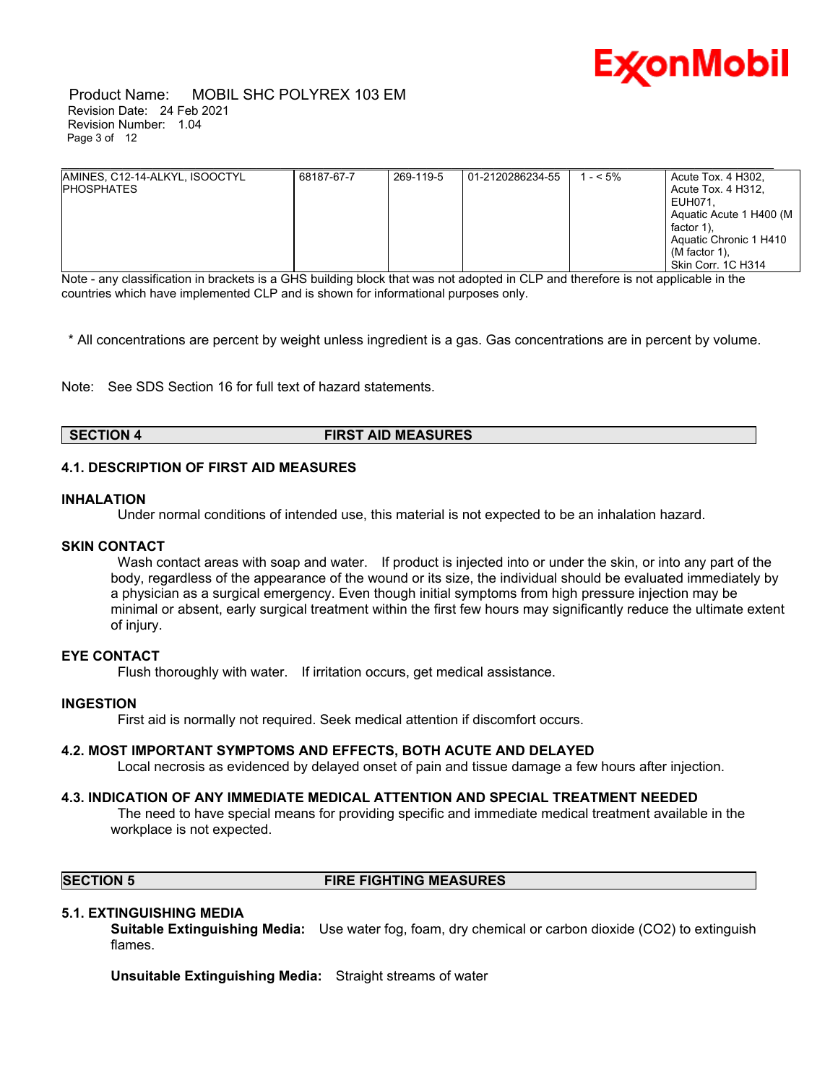

 Product Name: MOBIL SHC POLYREX 103 EM Revision Date: 24 Feb 2021 Revision Number: 1.04 Page 3 of 12

| AMINES, C12-14-ALKYL, ISOOCTYL<br><b>IPHOSPHATES</b> | 68187-67-7 | 269-119-5 | 01-2120286234-55 | $- < 5\%$ | Acute Tox. 4 H302,<br>Acute Tox. 4 H312,<br>EUH071.<br>Aguatic Acute 1 H400 (M<br>factor 1).<br>Aquatic Chronic 1 H410<br>(M factor 1).<br>Skin Corr. 1C H314 |
|------------------------------------------------------|------------|-----------|------------------|-----------|---------------------------------------------------------------------------------------------------------------------------------------------------------------|

Note - any classification in brackets is a GHS building block that was not adopted in CLP and therefore is not applicable in the countries which have implemented CLP and is shown for informational purposes only.

\* All concentrations are percent by weight unless ingredient is a gas. Gas concentrations are in percent by volume.

Note: See SDS Section 16 for full text of hazard statements.

# **SECTION 4 FIRST AID MEASURES**

# **4.1. DESCRIPTION OF FIRST AID MEASURES**

#### **INHALATION**

Under normal conditions of intended use, this material is not expected to be an inhalation hazard.

#### **SKIN CONTACT**

Wash contact areas with soap and water. If product is injected into or under the skin, or into any part of the body, regardless of the appearance of the wound or its size, the individual should be evaluated immediately by a physician as a surgical emergency. Even though initial symptoms from high pressure injection may be minimal or absent, early surgical treatment within the first few hours may significantly reduce the ultimate extent of injury.

### **EYE CONTACT**

Flush thoroughly with water. If irritation occurs, get medical assistance.

#### **INGESTION**

First aid is normally not required. Seek medical attention if discomfort occurs.

#### **4.2. MOST IMPORTANT SYMPTOMS AND EFFECTS, BOTH ACUTE AND DELAYED**

Local necrosis as evidenced by delayed onset of pain and tissue damage a few hours after injection.

#### **4.3. INDICATION OF ANY IMMEDIATE MEDICAL ATTENTION AND SPECIAL TREATMENT NEEDED**

 The need to have special means for providing specific and immediate medical treatment available in the workplace is not expected.

# **SECTION 5 FIRE FIGHTING MEASURES**

#### **5.1. EXTINGUISHING MEDIA**

**Suitable Extinguishing Media:** Use water fog, foam, dry chemical or carbon dioxide (CO2) to extinguish flames.

**Unsuitable Extinguishing Media:** Straight streams of water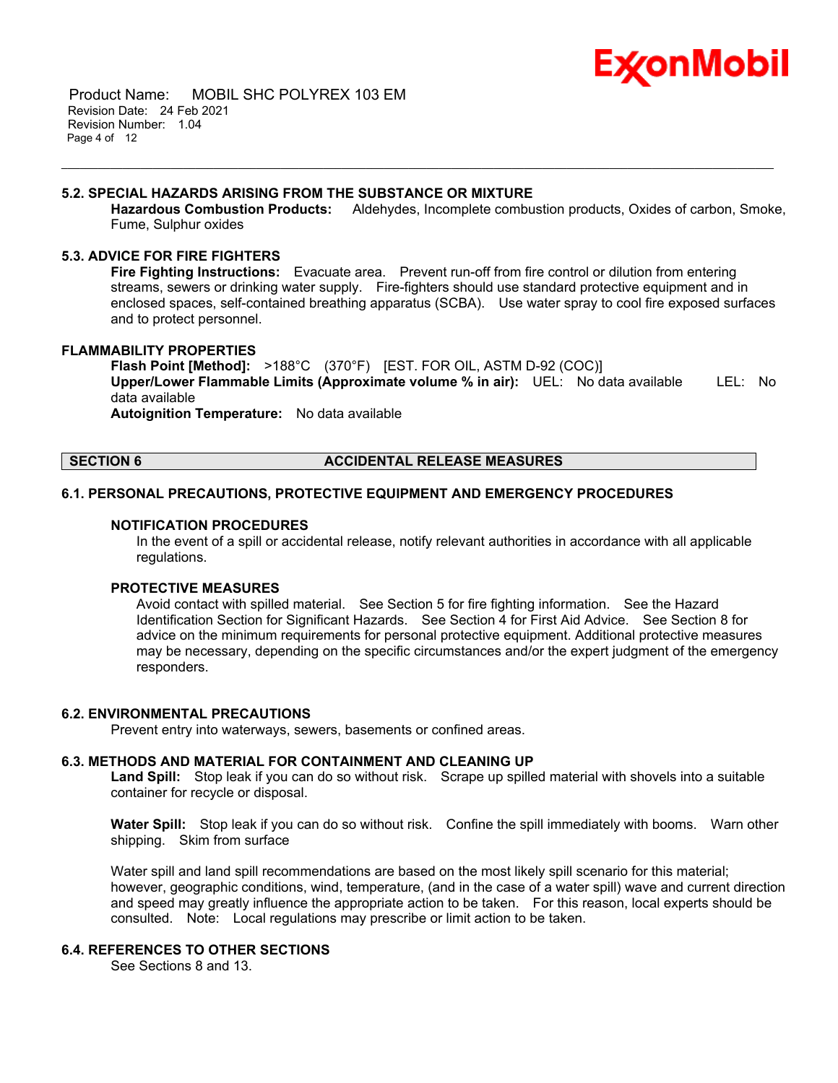

 Product Name: MOBIL SHC POLYREX 103 EM Revision Date: 24 Feb 2021 Revision Number: 1.04 Page 4 of 12

# **5.2. SPECIAL HAZARDS ARISING FROM THE SUBSTANCE OR MIXTURE**

**Hazardous Combustion Products:** Aldehydes, Incomplete combustion products, Oxides of carbon, Smoke, Fume, Sulphur oxides

\_\_\_\_\_\_\_\_\_\_\_\_\_\_\_\_\_\_\_\_\_\_\_\_\_\_\_\_\_\_\_\_\_\_\_\_\_\_\_\_\_\_\_\_\_\_\_\_\_\_\_\_\_\_\_\_\_\_\_\_\_\_\_\_\_\_\_\_\_\_\_\_\_\_\_\_\_\_\_\_\_\_\_\_\_\_\_\_\_\_\_\_\_\_\_\_\_\_\_\_\_\_\_\_\_\_\_\_\_\_\_\_\_\_\_\_\_

# **5.3. ADVICE FOR FIRE FIGHTERS**

**Fire Fighting Instructions:** Evacuate area. Prevent run-off from fire control or dilution from entering streams, sewers or drinking water supply. Fire-fighters should use standard protective equipment and in enclosed spaces, self-contained breathing apparatus (SCBA). Use water spray to cool fire exposed surfaces and to protect personnel.

# **FLAMMABILITY PROPERTIES**

**Flash Point [Method]:** >188°C (370°F) [EST. FOR OIL, ASTM D-92 (COC)] **Upper/Lower Flammable Limits (Approximate volume % in air):** UEL: No data available LEL: No data available **Autoignition Temperature:** No data available

# **SECTION 6 ACCIDENTAL RELEASE MEASURES**

# **6.1. PERSONAL PRECAUTIONS, PROTECTIVE EQUIPMENT AND EMERGENCY PROCEDURES**

#### **NOTIFICATION PROCEDURES**

In the event of a spill or accidental release, notify relevant authorities in accordance with all applicable regulations.

# **PROTECTIVE MEASURES**

Avoid contact with spilled material. See Section 5 for fire fighting information. See the Hazard Identification Section for Significant Hazards. See Section 4 for First Aid Advice. See Section 8 for advice on the minimum requirements for personal protective equipment. Additional protective measures may be necessary, depending on the specific circumstances and/or the expert judgment of the emergency responders.

# **6.2. ENVIRONMENTAL PRECAUTIONS**

Prevent entry into waterways, sewers, basements or confined areas.

# **6.3. METHODS AND MATERIAL FOR CONTAINMENT AND CLEANING UP**

**Land Spill:** Stop leak if you can do so without risk. Scrape up spilled material with shovels into a suitable container for recycle or disposal.

**Water Spill:** Stop leak if you can do so without risk. Confine the spill immediately with booms. Warn other shipping. Skim from surface

Water spill and land spill recommendations are based on the most likely spill scenario for this material; however, geographic conditions, wind, temperature, (and in the case of a water spill) wave and current direction and speed may greatly influence the appropriate action to be taken. For this reason, local experts should be consulted. Note: Local regulations may prescribe or limit action to be taken.

# **6.4. REFERENCES TO OTHER SECTIONS**

See Sections 8 and 13.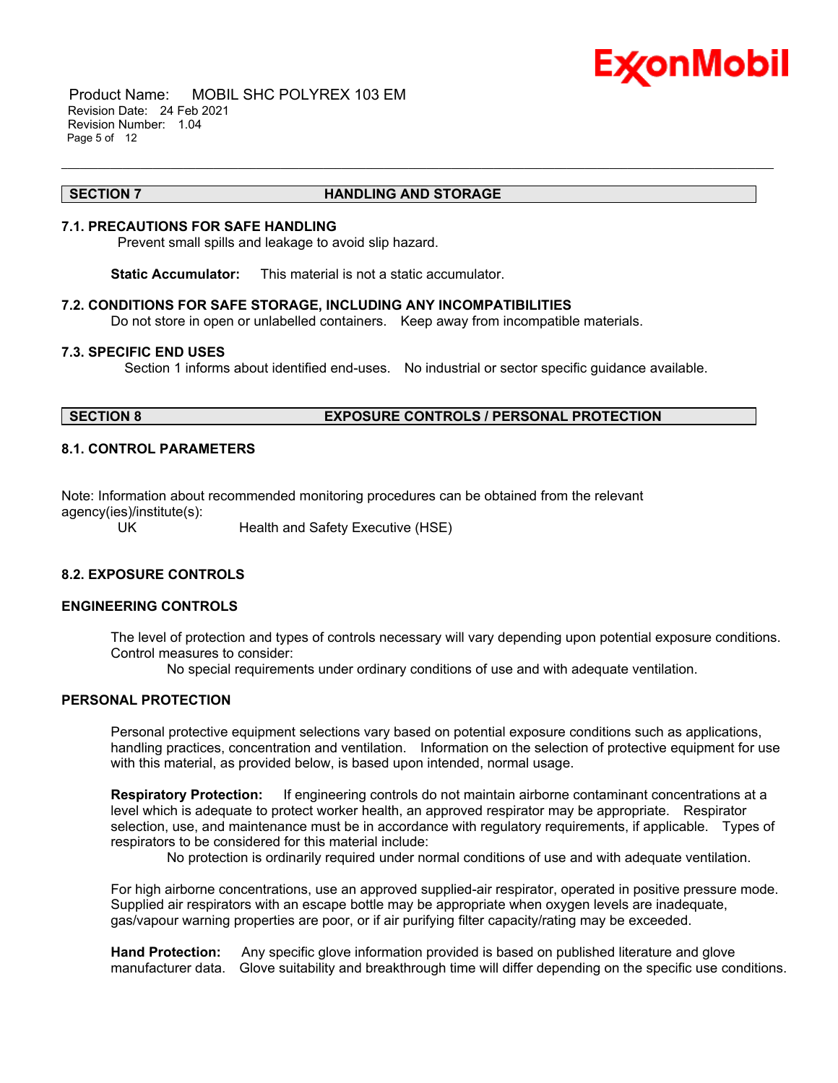

 Product Name: MOBIL SHC POLYREX 103 EM Revision Date: 24 Feb 2021 Revision Number: 1.04 Page 5 of 12

#### **SECTION 7 HANDLING AND STORAGE**

\_\_\_\_\_\_\_\_\_\_\_\_\_\_\_\_\_\_\_\_\_\_\_\_\_\_\_\_\_\_\_\_\_\_\_\_\_\_\_\_\_\_\_\_\_\_\_\_\_\_\_\_\_\_\_\_\_\_\_\_\_\_\_\_\_\_\_\_\_\_\_\_\_\_\_\_\_\_\_\_\_\_\_\_\_\_\_\_\_\_\_\_\_\_\_\_\_\_\_\_\_\_\_\_\_\_\_\_\_\_\_\_\_\_\_\_\_

# **7.1. PRECAUTIONS FOR SAFE HANDLING**

Prevent small spills and leakage to avoid slip hazard.

**Static Accumulator:** This material is not a static accumulator.

# **7.2. CONDITIONS FOR SAFE STORAGE, INCLUDING ANY INCOMPATIBILITIES**

Do not store in open or unlabelled containers. Keep away from incompatible materials.

# **7.3. SPECIFIC END USES**

Section 1 informs about identified end-uses. No industrial or sector specific guidance available.

# **SECTION 8 EXPOSURE CONTROLS / PERSONAL PROTECTION**

# **8.1. CONTROL PARAMETERS**

Note: Information about recommended monitoring procedures can be obtained from the relevant agency(ies)/institute(s):

UK Health and Safety Executive (HSE)

# **8.2. EXPOSURE CONTROLS**

# **ENGINEERING CONTROLS**

The level of protection and types of controls necessary will vary depending upon potential exposure conditions. Control measures to consider:

No special requirements under ordinary conditions of use and with adequate ventilation.

# **PERSONAL PROTECTION**

Personal protective equipment selections vary based on potential exposure conditions such as applications, handling practices, concentration and ventilation. Information on the selection of protective equipment for use with this material, as provided below, is based upon intended, normal usage.

**Respiratory Protection:** If engineering controls do not maintain airborne contaminant concentrations at a level which is adequate to protect worker health, an approved respirator may be appropriate. Respirator selection, use, and maintenance must be in accordance with regulatory requirements, if applicable. Types of respirators to be considered for this material include:

No protection is ordinarily required under normal conditions of use and with adequate ventilation.

For high airborne concentrations, use an approved supplied-air respirator, operated in positive pressure mode. Supplied air respirators with an escape bottle may be appropriate when oxygen levels are inadequate, gas/vapour warning properties are poor, or if air purifying filter capacity/rating may be exceeded.

**Hand Protection:** Any specific glove information provided is based on published literature and glove manufacturer data. Glove suitability and breakthrough time will differ depending on the specific use conditions.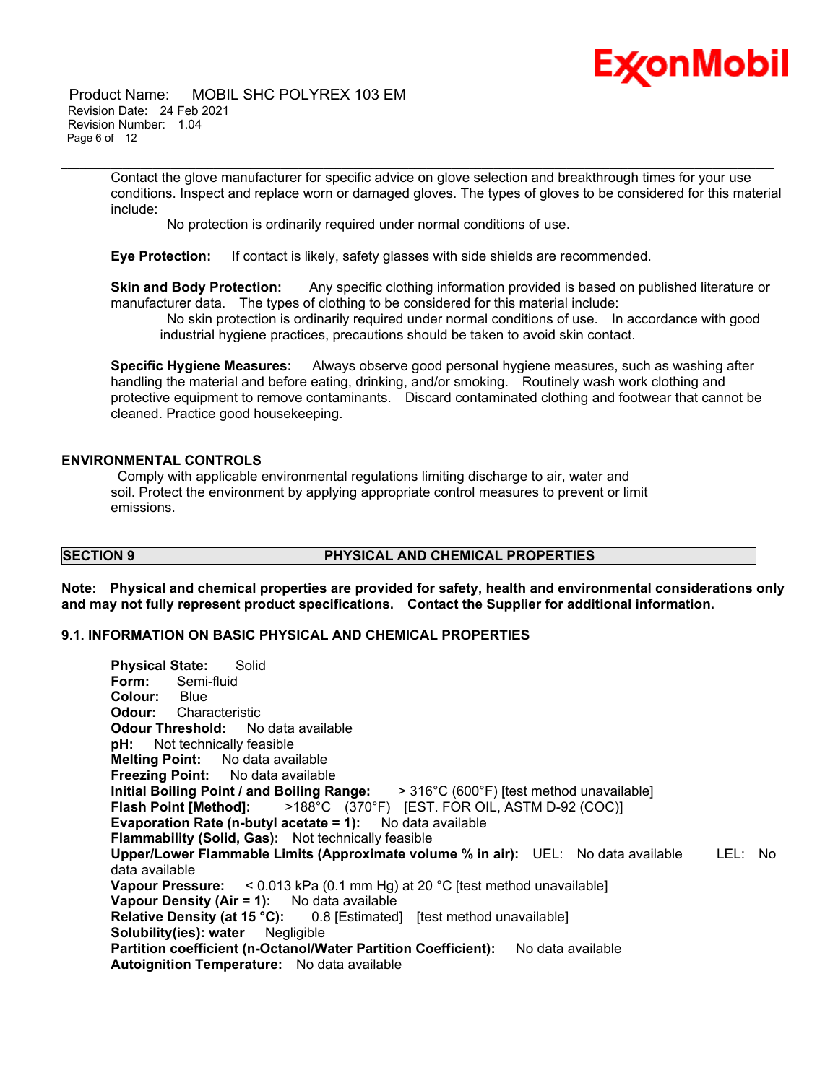

 Product Name: MOBIL SHC POLYREX 103 EM Revision Date: 24 Feb 2021 Revision Number: 1.04 Page 6 of 12

> Contact the glove manufacturer for specific advice on glove selection and breakthrough times for your use conditions. Inspect and replace worn or damaged gloves. The types of gloves to be considered for this material include:

\_\_\_\_\_\_\_\_\_\_\_\_\_\_\_\_\_\_\_\_\_\_\_\_\_\_\_\_\_\_\_\_\_\_\_\_\_\_\_\_\_\_\_\_\_\_\_\_\_\_\_\_\_\_\_\_\_\_\_\_\_\_\_\_\_\_\_\_\_\_\_\_\_\_\_\_\_\_\_\_\_\_\_\_\_\_\_\_\_\_\_\_\_\_\_\_\_\_\_\_\_\_\_\_\_\_\_\_\_\_\_\_\_\_\_\_\_

No protection is ordinarily required under normal conditions of use.

**Eye Protection:** If contact is likely, safety glasses with side shields are recommended.

**Skin and Body Protection:** Any specific clothing information provided is based on published literature or manufacturer data. The types of clothing to be considered for this material include:

 No skin protection is ordinarily required under normal conditions of use. In accordance with good industrial hygiene practices, precautions should be taken to avoid skin contact.

**Specific Hygiene Measures:** Always observe good personal hygiene measures, such as washing after handling the material and before eating, drinking, and/or smoking. Routinely wash work clothing and protective equipment to remove contaminants. Discard contaminated clothing and footwear that cannot be cleaned. Practice good housekeeping.

# **ENVIRONMENTAL CONTROLS**

 Comply with applicable environmental regulations limiting discharge to air, water and soil. Protect the environment by applying appropriate control measures to prevent or limit emissions.

# **SECTION 9 PHYSICAL AND CHEMICAL PROPERTIES**

**Note: Physical and chemical properties are provided for safety, health and environmental considerations only and may not fully represent product specifications. Contact the Supplier for additional information.**

# **9.1. INFORMATION ON BASIC PHYSICAL AND CHEMICAL PROPERTIES**

**Physical State:** Solid **Form:** Semi-fluid **Colour:** Blue **Odour:** Characteristic **Odour Threshold:** No data available **pH:** Not technically feasible **Melting Point:** No data available **Freezing Point:** No data available **Initial Boiling Point / and Boiling Range:** > 316°C (600°F) [test method unavailable] **Flash Point [Method]:** >188°C (370°F) [EST. FOR OIL, ASTM D-92 (COC)] **Evaporation Rate (n-butyl acetate = 1):** No data available **Flammability (Solid, Gas):** Not technically feasible **Upper/Lower Flammable Limits (Approximate volume % in air):** UEL: No data available LEL: No data available **Vapour Pressure:** < 0.013 kPa (0.1 mm Hg) at 20 °C [test method unavailable] **Vapour Density (Air = 1):** No data available **Relative Density (at 15 °C):** 0.8 [Estimated] [test method unavailable] **Solubility(ies): water** Negligible Partition coefficient (n-Octanol/Water Partition Coefficient): No data available **Autoignition Temperature:** No data available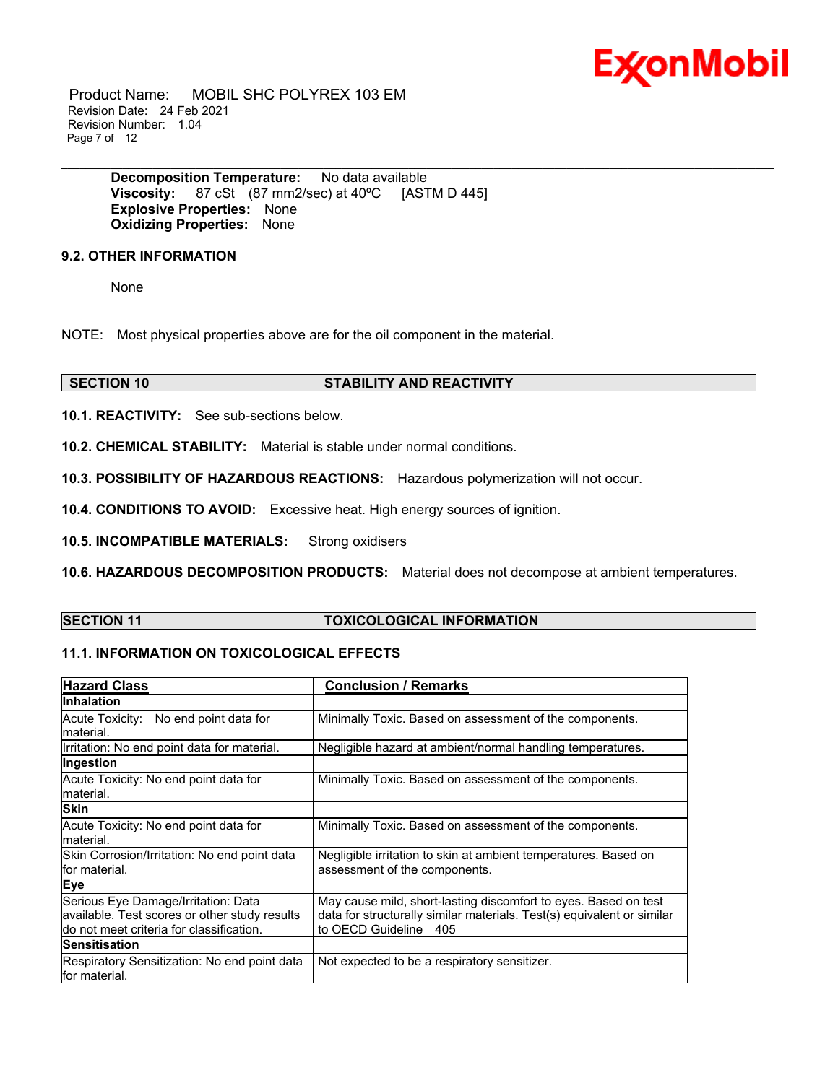

 Product Name: MOBIL SHC POLYREX 103 EM Revision Date: 24 Feb 2021 Revision Number: 1.04 Page 7 of 12

> **Decomposition Temperature:** No data available **Viscosity:** 87 cSt (87 mm2/sec) at 40ºC [ASTM D 445] **Explosive Properties:** None **Oxidizing Properties:** None

# **9.2. OTHER INFORMATION**

None

NOTE: Most physical properties above are for the oil component in the material.

# **SECTION 10 STABILITY AND REACTIVITY**

**10.1. REACTIVITY:** See sub-sections below.

**10.2. CHEMICAL STABILITY:** Material is stable under normal conditions.

**10.3. POSSIBILITY OF HAZARDOUS REACTIONS:** Hazardous polymerization will not occur.

**10.4. CONDITIONS TO AVOID:** Excessive heat. High energy sources of ignition.

**10.5. INCOMPATIBLE MATERIALS:** Strong oxidisers

**10.6. HAZARDOUS DECOMPOSITION PRODUCTS:** Material does not decompose at ambient temperatures.

\_\_\_\_\_\_\_\_\_\_\_\_\_\_\_\_\_\_\_\_\_\_\_\_\_\_\_\_\_\_\_\_\_\_\_\_\_\_\_\_\_\_\_\_\_\_\_\_\_\_\_\_\_\_\_\_\_\_\_\_\_\_\_\_\_\_\_\_\_\_\_\_\_\_\_\_\_\_\_\_\_\_\_\_\_\_\_\_\_\_\_\_\_\_\_\_\_\_\_\_\_\_\_\_\_\_\_\_\_\_\_\_\_\_\_\_\_

# **SECTION 11 TOXICOLOGICAL INFORMATION**

# **11.1. INFORMATION ON TOXICOLOGICAL EFFECTS**

| <b>Hazard Class</b>                                                                                                               | <b>Conclusion / Remarks</b>                                                                                                                                        |
|-----------------------------------------------------------------------------------------------------------------------------------|--------------------------------------------------------------------------------------------------------------------------------------------------------------------|
| <b>Inhalation</b>                                                                                                                 |                                                                                                                                                                    |
| Acute Toxicity: No end point data for<br>material.                                                                                | Minimally Toxic. Based on assessment of the components.                                                                                                            |
| Irritation: No end point data for material.                                                                                       | Negligible hazard at ambient/normal handling temperatures.                                                                                                         |
| Ingestion                                                                                                                         |                                                                                                                                                                    |
| Acute Toxicity: No end point data for<br>lmaterial.                                                                               | Minimally Toxic. Based on assessment of the components.                                                                                                            |
| <b>Skin</b>                                                                                                                       |                                                                                                                                                                    |
| Acute Toxicity: No end point data for<br>lmaterial.                                                                               | Minimally Toxic. Based on assessment of the components.                                                                                                            |
| Skin Corrosion/Irritation: No end point data<br>lfor material.                                                                    | Negligible irritation to skin at ambient temperatures. Based on<br>assessment of the components.                                                                   |
| Eye                                                                                                                               |                                                                                                                                                                    |
| Serious Eye Damage/Irritation: Data<br>available. Test scores or other study results<br>ldo not meet criteria for classification. | May cause mild, short-lasting discomfort to eyes. Based on test<br>data for structurally similar materials. Test(s) equivalent or similar<br>to OECD Guideline 405 |
| <b>Sensitisation</b>                                                                                                              |                                                                                                                                                                    |
| Respiratory Sensitization: No end point data<br>lfor material.                                                                    | Not expected to be a respiratory sensitizer.                                                                                                                       |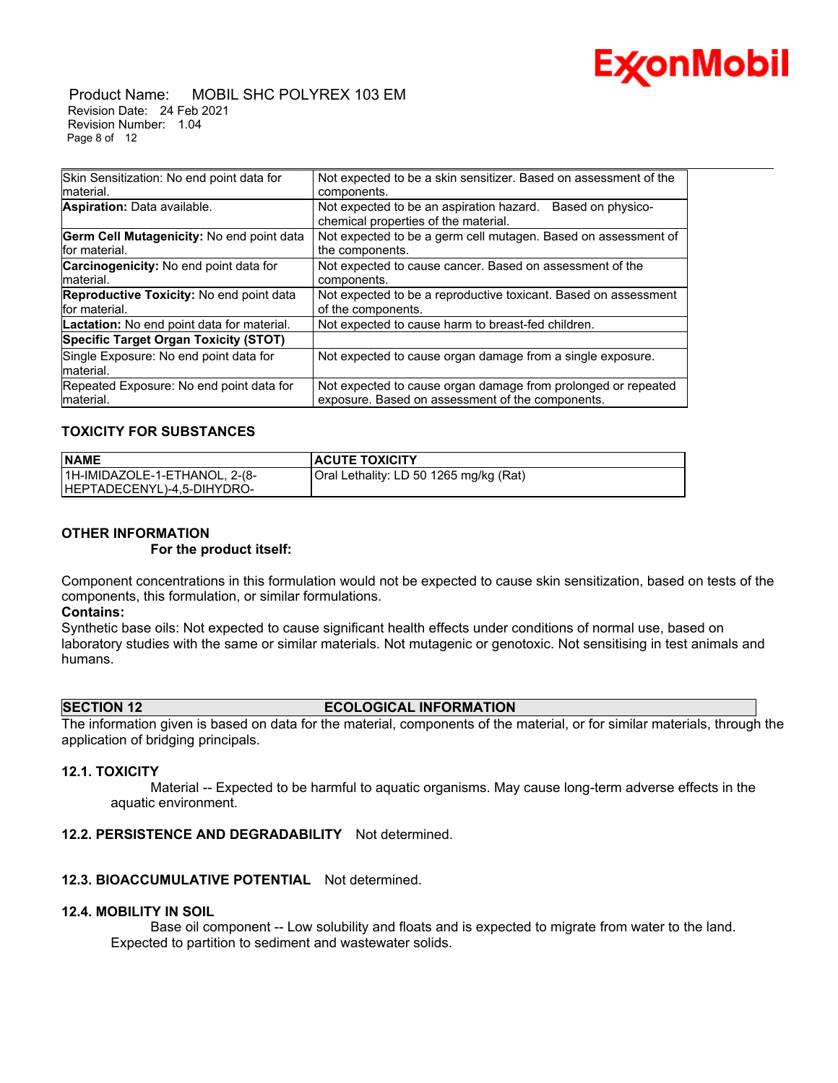

#### Product Name: MOBIL SHC POLYREX 103 EM Revision Date: 24 Feb 2021 Revision Number: 1.04 Page 8 of 12

| Skin Sensitization: No end point data for                  | Not expected to be a skin sensitizer. Based on assessment of the                                                  |
|------------------------------------------------------------|-------------------------------------------------------------------------------------------------------------------|
| material.                                                  | components.                                                                                                       |
| Aspiration: Data available.                                | Not expected to be an aspiration hazard.<br>Based on physico-<br>chemical properties of the material.             |
| Germ Cell Mutagenicity: No end point data<br>for material. | Not expected to be a germ cell mutagen. Based on assessment of<br>the components.                                 |
| <b>Carcinogenicity:</b> No end point data for<br>material. | Not expected to cause cancer. Based on assessment of the<br>components.                                           |
| Reproductive Toxicity: No end point data<br>for material.  | Not expected to be a reproductive toxicant. Based on assessment<br>of the components.                             |
| Lactation: No end point data for material.                 | Not expected to cause harm to breast-fed children.                                                                |
| <b>Specific Target Organ Toxicity (STOT)</b>               |                                                                                                                   |
| Single Exposure: No end point data for                     | Not expected to cause organ damage from a single exposure.                                                        |
| material.                                                  |                                                                                                                   |
| Repeated Exposure: No end point data for<br>Imaterial.     | Not expected to cause organ damage from prolonged or repeated<br>exposure. Based on assessment of the components. |
|                                                            |                                                                                                                   |

\_\_\_\_\_\_\_\_\_\_\_\_\_\_\_\_\_\_\_\_\_\_\_\_\_\_\_\_\_\_\_\_\_\_\_\_\_\_\_\_\_\_\_\_\_\_\_\_\_\_\_\_\_\_\_\_\_\_\_\_\_\_\_\_\_\_\_\_\_\_\_\_\_\_\_\_\_\_\_\_\_\_\_\_\_\_\_\_\_\_\_\_\_\_\_\_\_\_\_\_\_\_\_\_\_\_\_\_\_\_\_\_\_\_\_\_\_

# **TOXICITY FOR SUBSTANCES**

| <b>NAME</b>                   | <b>ACUTE TOXICITY</b>                  |
|-------------------------------|----------------------------------------|
| 1H-IMIDAZOLE-1-ETHANOL, 2-(8- | Oral Lethality: LD 50 1265 mg/kg (Rat) |
| HEPTADECENYL)-4,5-DIHYDRO-    |                                        |

# **OTHER INFORMATION**

 **For the product itself:** 

Component concentrations in this formulation would not be expected to cause skin sensitization, based on tests of the components, this formulation, or similar formulations.

#### **Contains:**

Synthetic base oils: Not expected to cause significant health effects under conditions of normal use, based on laboratory studies with the same or similar materials. Not mutagenic or genotoxic. Not sensitising in test animals and humans.

# **SECTION 12 ECOLOGICAL INFORMATION**

The information given is based on data for the material, components of the material, or for similar materials, through the application of bridging principals.

# **12.1. TOXICITY**

 Material -- Expected to be harmful to aquatic organisms. May cause long-term adverse effects in the aquatic environment.

# **12.2. PERSISTENCE AND DEGRADABILITY** Not determined.

# **12.3. BIOACCUMULATIVE POTENTIAL** Not determined.

# **12.4. MOBILITY IN SOIL**

 Base oil component -- Low solubility and floats and is expected to migrate from water to the land. Expected to partition to sediment and wastewater solids.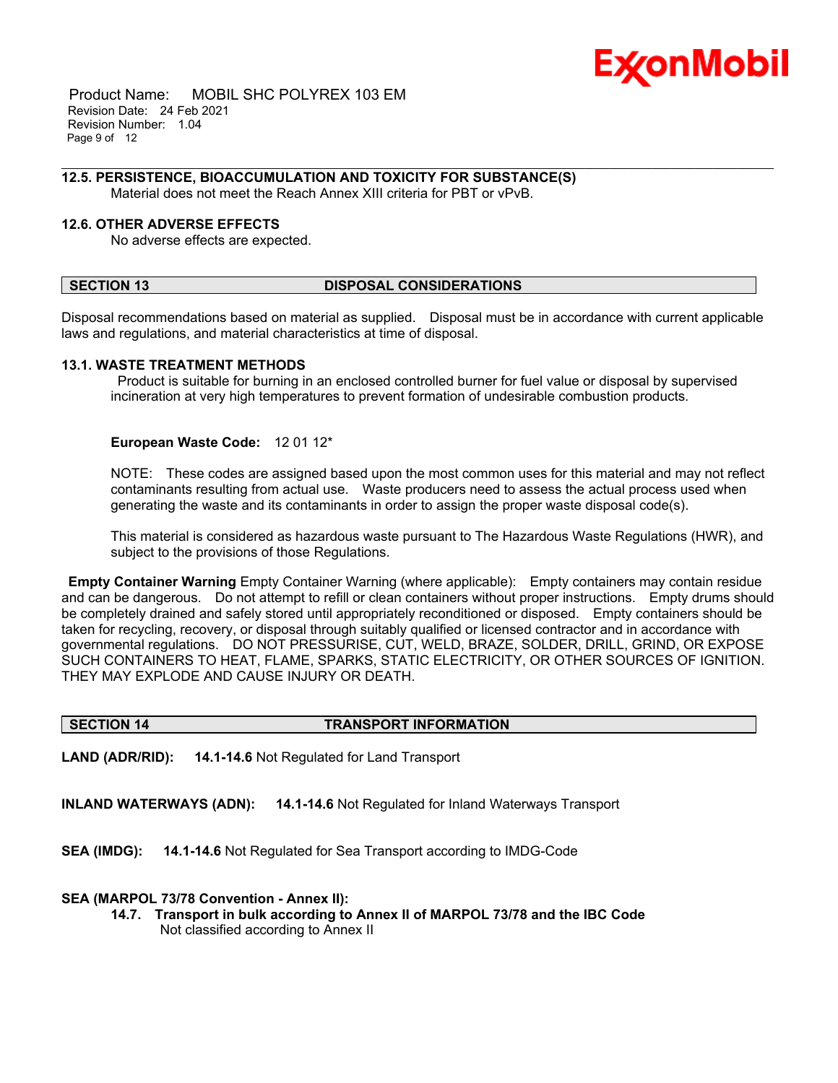

 Product Name: MOBIL SHC POLYREX 103 EM Revision Date: 24 Feb 2021 Revision Number: 1.04 Page 9 of 12

### **12.5. PERSISTENCE, BIOACCUMULATION AND TOXICITY FOR SUBSTANCE(S)**

Material does not meet the Reach Annex XIII criteria for PBT or vPvB.

# **12.6. OTHER ADVERSE EFFECTS**

No adverse effects are expected.

# **SECTION 13 DISPOSAL CONSIDERATIONS**

Disposal recommendations based on material as supplied. Disposal must be in accordance with current applicable laws and regulations, and material characteristics at time of disposal.

\_\_\_\_\_\_\_\_\_\_\_\_\_\_\_\_\_\_\_\_\_\_\_\_\_\_\_\_\_\_\_\_\_\_\_\_\_\_\_\_\_\_\_\_\_\_\_\_\_\_\_\_\_\_\_\_\_\_\_\_\_\_\_\_\_\_\_\_\_\_\_\_\_\_\_\_\_\_\_\_\_\_\_\_\_\_\_\_\_\_\_\_\_\_\_\_\_\_\_\_\_\_\_\_\_\_\_\_\_\_\_\_\_\_\_\_\_

#### **13.1. WASTE TREATMENT METHODS**

 Product is suitable for burning in an enclosed controlled burner for fuel value or disposal by supervised incineration at very high temperatures to prevent formation of undesirable combustion products.

#### **European Waste Code:** 12 01 12\*

NOTE: These codes are assigned based upon the most common uses for this material and may not reflect contaminants resulting from actual use. Waste producers need to assess the actual process used when generating the waste and its contaminants in order to assign the proper waste disposal code(s).

This material is considered as hazardous waste pursuant to The Hazardous Waste Regulations (HWR), and subject to the provisions of those Regulations.

**Empty Container Warning** Empty Container Warning (where applicable): Empty containers may contain residue and can be dangerous. Do not attempt to refill or clean containers without proper instructions. Empty drums should be completely drained and safely stored until appropriately reconditioned or disposed. Empty containers should be taken for recycling, recovery, or disposal through suitably qualified or licensed contractor and in accordance with governmental regulations. DO NOT PRESSURISE, CUT, WELD, BRAZE, SOLDER, DRILL, GRIND, OR EXPOSE SUCH CONTAINERS TO HEAT, FLAME, SPARKS, STATIC ELECTRICITY, OR OTHER SOURCES OF IGNITION. THEY MAY EXPLODE AND CAUSE INJURY OR DEATH.

#### **SECTION 14 TRANSPORT INFORMATION**

**LAND (ADR/RID): 14.1-14.6** Not Regulated for Land Transport

**INLAND WATERWAYS (ADN): 14.1-14.6** Not Regulated for Inland Waterways Transport

**SEA (IMDG): 14.1-14.6** Not Regulated for Sea Transport according to IMDG-Code

#### **SEA (MARPOL 73/78 Convention - Annex II):**

**14.7. Transport in bulk according to Annex II of MARPOL 73/78 and the IBC Code** Not classified according to Annex II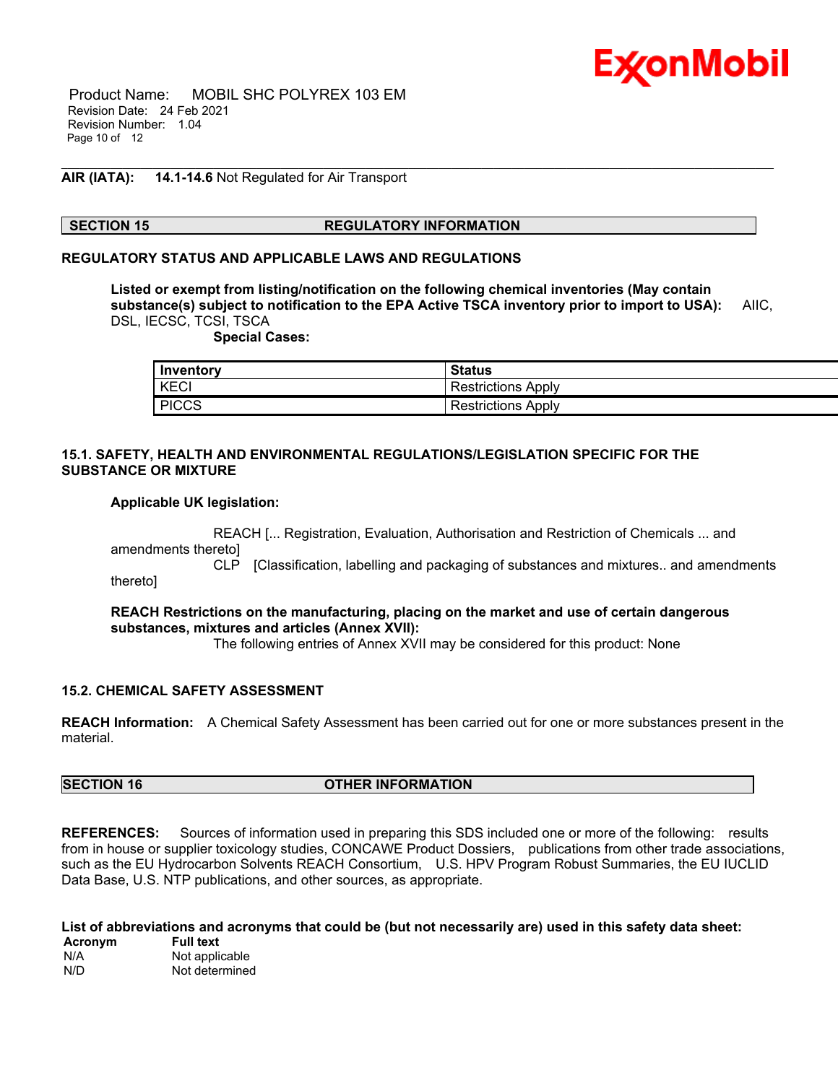

 Product Name: MOBIL SHC POLYREX 103 EM Revision Date: 24 Feb 2021 Revision Number: 1.04 Page 10 of 12

# **AIR (IATA): 14.1-14.6** Not Regulated for Air Transport

# **SECTION 15 REGULATORY INFORMATION**

\_\_\_\_\_\_\_\_\_\_\_\_\_\_\_\_\_\_\_\_\_\_\_\_\_\_\_\_\_\_\_\_\_\_\_\_\_\_\_\_\_\_\_\_\_\_\_\_\_\_\_\_\_\_\_\_\_\_\_\_\_\_\_\_\_\_\_\_\_\_\_\_\_\_\_\_\_\_\_\_\_\_\_\_\_\_\_\_\_\_\_\_\_\_\_\_\_\_\_\_\_\_\_\_\_\_\_\_\_\_\_\_\_\_\_\_\_

### **REGULATORY STATUS AND APPLICABLE LAWS AND REGULATIONS**

**Listed or exempt from listing/notification on the following chemical inventories (May contain substance(s) subject to notification to the EPA Active TSCA inventory prior to import to USA):** AIIC, DSL, IECSC, TCSI, TSCA

 **Special Cases:**

| Inventory    | <b>Status</b>         |
|--------------|-----------------------|
| KECI         | Restrictions<br>Apply |
| <b>PICCS</b> | Restrictions<br>Apply |

# **15.1. SAFETY, HEALTH AND ENVIRONMENTAL REGULATIONS/LEGISLATION SPECIFIC FOR THE SUBSTANCE OR MIXTURE**

#### **Applicable UK legislation:**

 REACH [... Registration, Evaluation, Authorisation and Restriction of Chemicals ... and amendments thereto] CLP [Classification, labelling and packaging of substances and mixtures.. and amendments thereto]

**REACH Restrictions on the manufacturing, placing on the market and use of certain dangerous substances, mixtures and articles (Annex XVII):**

The following entries of Annex XVII may be considered for this product: None

# **15.2. CHEMICAL SAFETY ASSESSMENT**

**REACH Information:** A Chemical Safety Assessment has been carried out for one or more substances present in the material.

# **SECTION 16 OTHER INFORMATION**

**REFERENCES:** Sources of information used in preparing this SDS included one or more of the following: results from in house or supplier toxicology studies, CONCAWE Product Dossiers, publications from other trade associations, such as the EU Hydrocarbon Solvents REACH Consortium, U.S. HPV Program Robust Summaries, the EU IUCLID Data Base, U.S. NTP publications, and other sources, as appropriate.

**List of abbreviations and acronyms that could be (but not necessarily are) used in this safety data sheet: Acronym Full text** N/A Not applicable N/D Not determined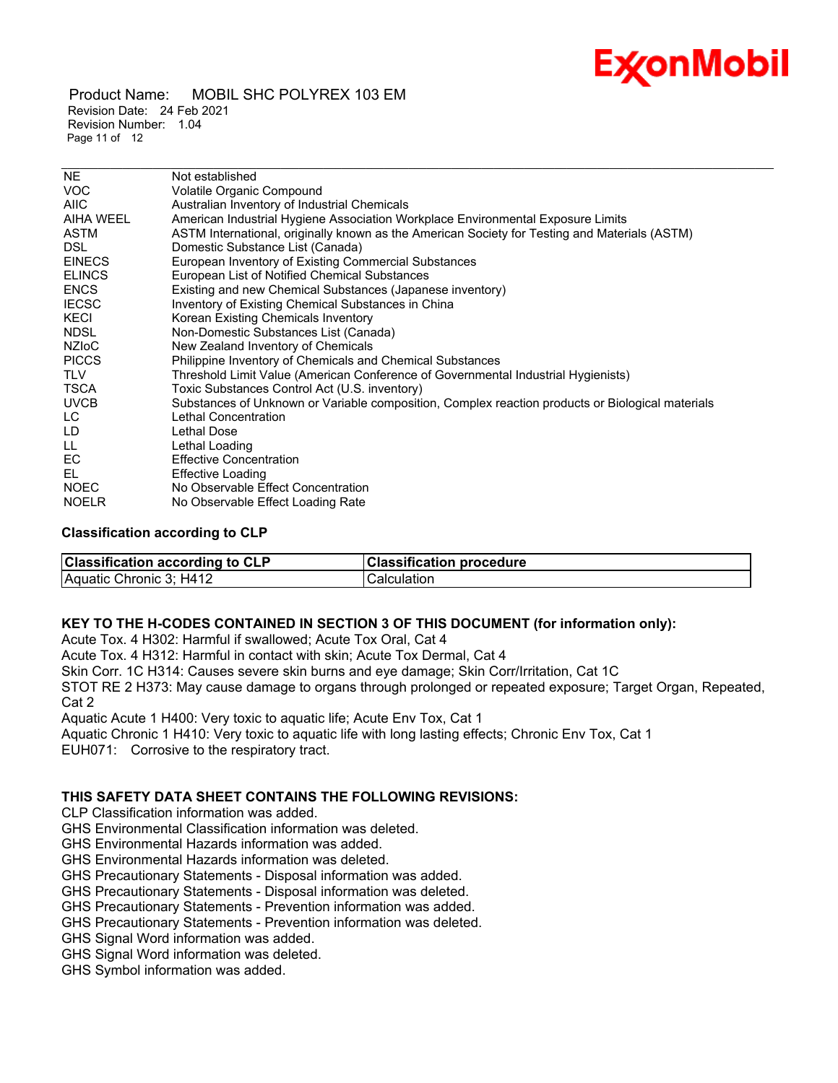

 Product Name: MOBIL SHC POLYREX 103 EM Revision Date: 24 Feb 2021 Revision Number: 1.04 Page 11 of 12

| NE.           | Not established                                                                                  |
|---------------|--------------------------------------------------------------------------------------------------|
| <b>VOC</b>    | Volatile Organic Compound                                                                        |
| AIIC          | Australian Inventory of Industrial Chemicals                                                     |
| AIHA WEEL     | American Industrial Hygiene Association Workplace Environmental Exposure Limits                  |
| ASTM          | ASTM International, originally known as the American Society for Testing and Materials (ASTM)    |
| DSL.          | Domestic Substance List (Canada)                                                                 |
| <b>EINECS</b> | European Inventory of Existing Commercial Substances                                             |
| <b>ELINCS</b> | European List of Notified Chemical Substances                                                    |
| <b>ENCS</b>   | Existing and new Chemical Substances (Japanese inventory)                                        |
| <b>IECSC</b>  | Inventory of Existing Chemical Substances in China                                               |
| KECI          | Korean Existing Chemicals Inventory                                                              |
| <b>NDSL</b>   | Non-Domestic Substances List (Canada)                                                            |
| <b>NZIOC</b>  | New Zealand Inventory of Chemicals                                                               |
| <b>PICCS</b>  | Philippine Inventory of Chemicals and Chemical Substances                                        |
| TLV           | Threshold Limit Value (American Conference of Governmental Industrial Hygienists)                |
| TSCA          | Toxic Substances Control Act (U.S. inventory)                                                    |
| <b>UVCB</b>   | Substances of Unknown or Variable composition, Complex reaction products or Biological materials |
| LC.           | Lethal Concentration                                                                             |
| LD            | Lethal Dose                                                                                      |
| LL.           | Lethal Loading                                                                                   |
| EC.           | <b>Effective Concentration</b>                                                                   |
| EL.           | <b>Effective Loading</b>                                                                         |
| <b>NOEC</b>   | No Observable Effect Concentration                                                               |
| <b>NOELR</b>  | No Observable Effect Loading Rate                                                                |

\_\_\_\_\_\_\_\_\_\_\_\_\_\_\_\_\_\_\_\_\_\_\_\_\_\_\_\_\_\_\_\_\_\_\_\_\_\_\_\_\_\_\_\_\_\_\_\_\_\_\_\_\_\_\_\_\_\_\_\_\_\_\_\_\_\_\_\_\_\_\_\_\_\_\_\_\_\_\_\_\_\_\_\_\_\_\_\_\_\_\_\_\_\_\_\_\_\_\_\_\_\_\_\_\_\_\_\_\_\_\_\_\_\_\_\_\_

# **Classification according to CLP**

| <b>Classification according to CLP</b> | <b>Classification procedure</b> |
|----------------------------------------|---------------------------------|
| Aquatic Chronic 3; H412                | Calculation                     |

# **KEY TO THE H-CODES CONTAINED IN SECTION 3 OF THIS DOCUMENT (for information only):**

Acute Tox. 4 H302: Harmful if swallowed; Acute Tox Oral, Cat 4

Acute Tox. 4 H312: Harmful in contact with skin; Acute Tox Dermal, Cat 4

Skin Corr. 1C H314: Causes severe skin burns and eye damage; Skin Corr/Irritation, Cat 1C

STOT RE 2 H373: May cause damage to organs through prolonged or repeated exposure; Target Organ, Repeated, Cat 2

Aquatic Acute 1 H400: Very toxic to aquatic life; Acute Env Tox, Cat 1

Aquatic Chronic 1 H410: Very toxic to aquatic life with long lasting effects; Chronic Env Tox, Cat 1

EUH071: Corrosive to the respiratory tract.

# **THIS SAFETY DATA SHEET CONTAINS THE FOLLOWING REVISIONS:**

CLP Classification information was added.

GHS Environmental Classification information was deleted.

GHS Environmental Hazards information was added.

GHS Environmental Hazards information was deleted.

GHS Precautionary Statements - Disposal information was added.

GHS Precautionary Statements - Disposal information was deleted.

GHS Precautionary Statements - Prevention information was added.

GHS Precautionary Statements - Prevention information was deleted.

GHS Signal Word information was added.

GHS Signal Word information was deleted.

GHS Symbol information was added.